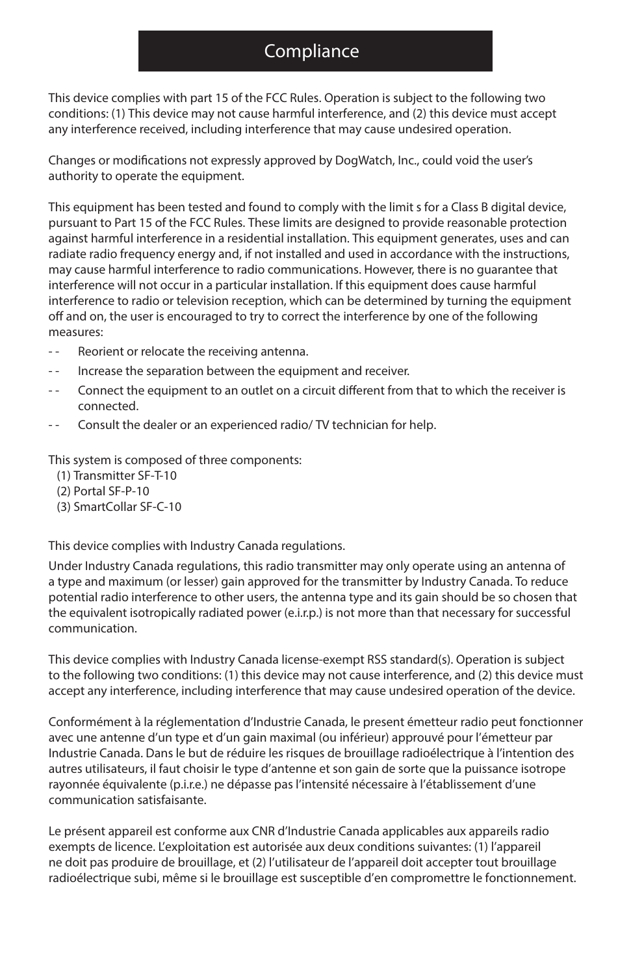## **Compliance**

This device complies with part 15 of the FCC Rules. Operation is subject to the following two conditions: (1) This device may not cause harmful interference, and (2) this device must accept any interference received, including interference that may cause undesired operation.

Changes or modifications not expressly approved by DogWatch, Inc., could void the user's authority to operate the equipment.

This equipment has been tested and found to comply with the limit s for a Class B digital device, pursuant to Part 15 of the FCC Rules. These limits are designed to provide reasonable protection against harmful interference in a residential installation. This equipment generates, uses and can radiate radio frequency energy and, if not installed and used in accordance with the instructions, may cause harmful interference to radio communications. However, there is no guarantee that interference will not occur in a particular installation. If this equipment does cause harmful interference to radio or television reception, which can be determined by turning the equipment off and on, the user is encouraged to try to correct the interference by one of the following measures:

- Reorient or relocate the receiving antenna.
- -- Increase the separation between the equipment and receiver.
- Connect the equipment to an outlet on a circuit different from that to which the receiver is connected.
- Consult the dealer or an experienced radio/ TV technician for help.

This system is composed of three components:

- (1) Transmitter SF-T-10
- (2) Portal SF-P-10
- (3) SmartCollar SF-C-10

This device complies with Industry Canada regulations.

Under Industry Canada regulations, this radio transmitter may only operate using an antenna of a type and maximum (or lesser) gain approved for the transmitter by Industry Canada. To reduce potential radio interference to other users, the antenna type and its gain should be so chosen that the equivalent isotropically radiated power (e.i.r.p.) is not more than that necessary for successful communication.

This device complies with Industry Canada license-exempt RSS standard(s). Operation is subject to the following two conditions: (1) this device may not cause interference, and (2) this device must accept any interference, including interference that may cause undesired operation of the device.

Conformément à la réglementation d'Industrie Canada, le present émetteur radio peut fonctionner avec une antenne d'un type et d'un gain maximal (ou inférieur) approuvé pour l'émetteur par Industrie Canada. Dans le but de réduire les risques de brouillage radioélectrique à l'intention des autres utilisateurs, il faut choisir le type d'antenne et son gain de sorte que la puissance isotrope rayonnée équivalente (p.i.r.e.) ne dépasse pas l'intensité nécessaire à l'établissement d'une communication satisfaisante.

Le présent appareil est conforme aux CNR d'Industrie Canada applicables aux appareils radio exempts de licence. L'exploitation est autorisée aux deux conditions suivantes: (1) l'appareil ne doit pas produire de brouillage, et (2) l'utilisateur de l'appareil doit accepter tout brouillage radioélectrique subi, même si le brouillage est susceptible d'en compromettre le fonctionnement.